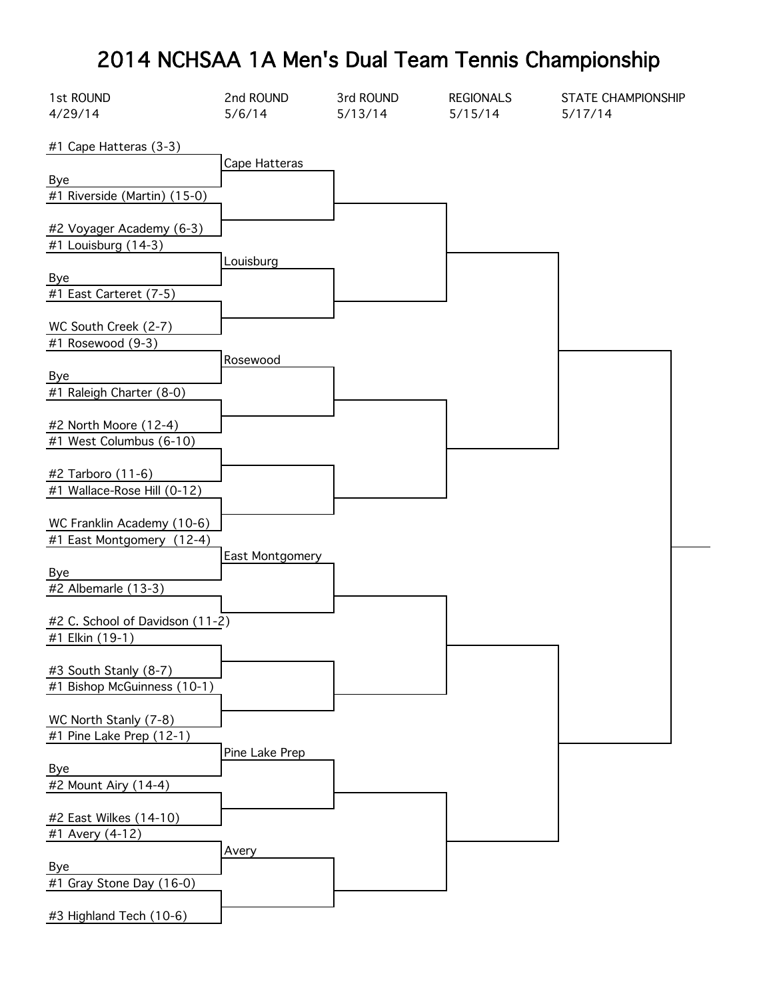## 2014 NCHSAA 1A Men's Dual Team Tennis Championship

| 1st ROUND<br>4/29/14               | 2nd ROUND<br>5/6/14 | 3rd ROUND<br>5/13/14 | <b>REGIONALS</b><br>5/15/14 | STATE CHAMPIONSHIP<br>5/17/14 |
|------------------------------------|---------------------|----------------------|-----------------------------|-------------------------------|
|                                    |                     |                      |                             |                               |
| #1 Cape Hatteras (3-3)             |                     |                      |                             |                               |
|                                    | Cape Hatteras       |                      |                             |                               |
| <u>Bye</u>                         |                     |                      |                             |                               |
| #1 Riverside (Martin) (15-0)       |                     |                      |                             |                               |
| #2 Voyager Academy (6-3)           |                     |                      |                             |                               |
| #1 Louisburg (14-3)                |                     |                      |                             |                               |
|                                    | Louisburg           |                      |                             |                               |
| <u>Bye</u>                         |                     |                      |                             |                               |
| #1 East Carteret (7-5)             |                     |                      |                             |                               |
|                                    |                     |                      |                             |                               |
| WC South Creek (2-7)               |                     |                      |                             |                               |
| #1 Rosewood (9-3)                  | Rosewood            |                      |                             |                               |
| <b>Bye</b>                         |                     |                      |                             |                               |
| #1 Raleigh Charter (8-0)           |                     |                      |                             |                               |
|                                    |                     |                      |                             |                               |
| #2 North Moore (12-4)              |                     |                      |                             |                               |
| #1 West Columbus (6-10)            |                     |                      |                             |                               |
|                                    |                     |                      |                             |                               |
| #2 Tarboro (11-6)                  |                     |                      |                             |                               |
| #1 Wallace-Rose Hill (0-12)        |                     |                      |                             |                               |
| WC Franklin Academy (10-6)         |                     |                      |                             |                               |
| #1 East Montgomery (12-4)          |                     |                      |                             |                               |
|                                    | East Montgomery     |                      |                             |                               |
| Bye                                |                     |                      |                             |                               |
| #2 Albemarle (13-3)                |                     |                      |                             |                               |
|                                    |                     |                      |                             |                               |
| #2 C. School of Davidson (11-2)    |                     |                      |                             |                               |
| #1 Elkin (19-1)                    |                     |                      |                             |                               |
| #3 South Stanly (8-7)              |                     |                      |                             |                               |
| #1 Bishop McGuinness (10-1)        |                     |                      |                             |                               |
|                                    |                     |                      |                             |                               |
| WC North Stanly (7-8)              |                     |                      |                             |                               |
| #1 Pine Lake Prep (12-1)           |                     |                      |                             |                               |
|                                    | Pine Lake Prep      |                      |                             |                               |
| <b>Bye</b><br>#2 Mount Airy (14-4) |                     |                      |                             |                               |
|                                    |                     |                      |                             |                               |
| #2 East Wilkes (14-10)             |                     |                      |                             |                               |
| #1 Avery (4-12)                    |                     |                      |                             |                               |
|                                    | Avery               |                      |                             |                               |
| <b>Bye</b>                         |                     |                      |                             |                               |
| #1 Gray Stone Day (16-0)           |                     |                      |                             |                               |
|                                    |                     |                      |                             |                               |
| #3 Highland Tech (10-6)            |                     |                      |                             |                               |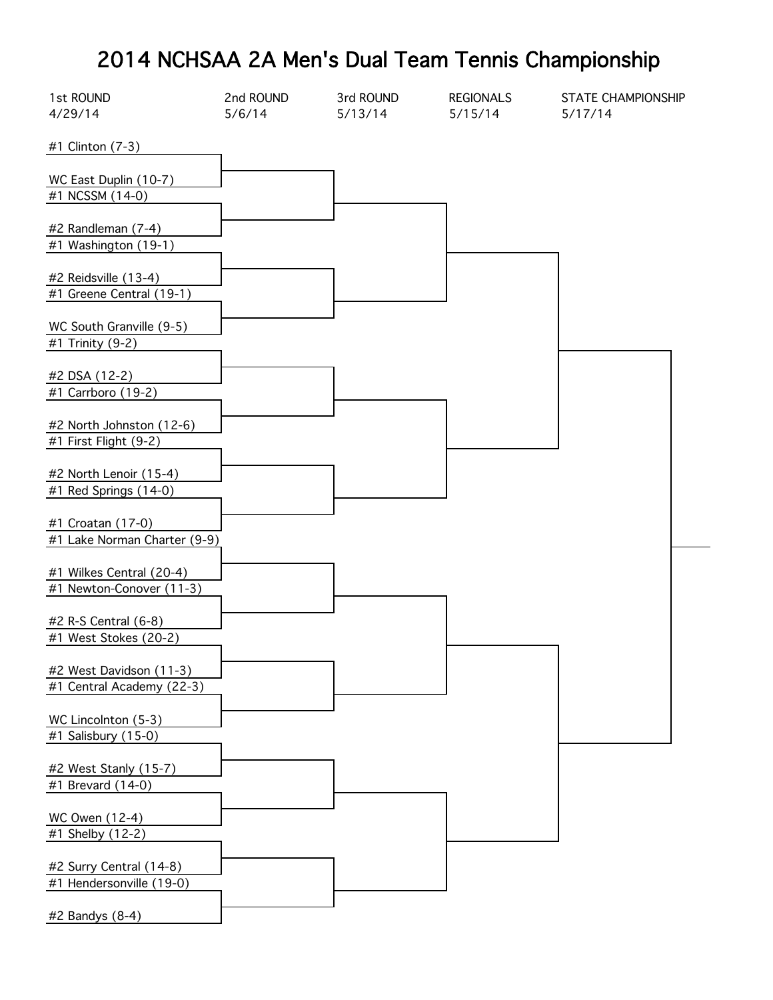## 2014 NCHSAA 2A Men's Dual Team Tennis Championship

| 1st ROUND<br>4/29/14                                 | 2nd ROUND<br>5/6/14 | 3rd ROUND<br>5/13/14 | <b>REGIONALS</b><br>5/15/14 | <b>STATE CHAMPIONSHIP</b><br>5/17/14 |
|------------------------------------------------------|---------------------|----------------------|-----------------------------|--------------------------------------|
|                                                      |                     |                      |                             |                                      |
| #1 Clinton (7-3)                                     |                     |                      |                             |                                      |
| WC East Duplin (10-7)                                |                     |                      |                             |                                      |
| #1 NCSSM (14-0)                                      |                     |                      |                             |                                      |
| #2 Randleman (7-4)                                   |                     |                      |                             |                                      |
| #1 Washington (19-1)                                 |                     |                      |                             |                                      |
|                                                      |                     |                      |                             |                                      |
| #2 Reidsville (13-4)<br>#1 Greene Central (19-1)     |                     |                      |                             |                                      |
|                                                      |                     |                      |                             |                                      |
| WC South Granville (9-5)                             |                     |                      |                             |                                      |
| #1 Trinity (9-2)                                     |                     |                      |                             |                                      |
| #2 DSA (12-2)                                        |                     |                      |                             |                                      |
| #1 Carrboro (19-2)                                   |                     |                      |                             |                                      |
| #2 North Johnston (12-6)                             |                     |                      |                             |                                      |
| #1 First Flight (9-2)                                |                     |                      |                             |                                      |
| #2 North Lenoir (15-4)                               |                     |                      |                             |                                      |
| #1 Red Springs (14-0)                                |                     |                      |                             |                                      |
| #1 Croatan (17-0)                                    |                     |                      |                             |                                      |
| #1 Lake Norman Charter (9-9)                         |                     |                      |                             |                                      |
|                                                      |                     |                      |                             |                                      |
| #1 Wilkes Central (20-4)<br>#1 Newton-Conover (11-3) |                     |                      |                             |                                      |
|                                                      |                     |                      |                             |                                      |
| #2 R-S Central (6-8)<br>#1 West Stokes (20-2)        |                     |                      |                             |                                      |
|                                                      |                     |                      |                             |                                      |
| #2 West Davidson (11-3)                              |                     |                      |                             |                                      |
| #1 Central Academy (22-3)                            |                     |                      |                             |                                      |
| WC Lincolnton (5-3)                                  |                     |                      |                             |                                      |
| #1 Salisbury (15-0)                                  |                     |                      |                             |                                      |
| #2 West Stanly (15-7)                                |                     |                      |                             |                                      |
| #1 Brevard (14-0)                                    |                     |                      |                             |                                      |
| WC Owen (12-4)                                       |                     |                      |                             |                                      |
| #1 Shelby (12-2)                                     |                     |                      |                             |                                      |
| #2 Surry Central (14-8)                              |                     |                      |                             |                                      |
| #1 Hendersonville (19-0)                             |                     |                      |                             |                                      |
|                                                      |                     |                      |                             |                                      |
| #2 Bandys (8-4)                                      |                     |                      |                             |                                      |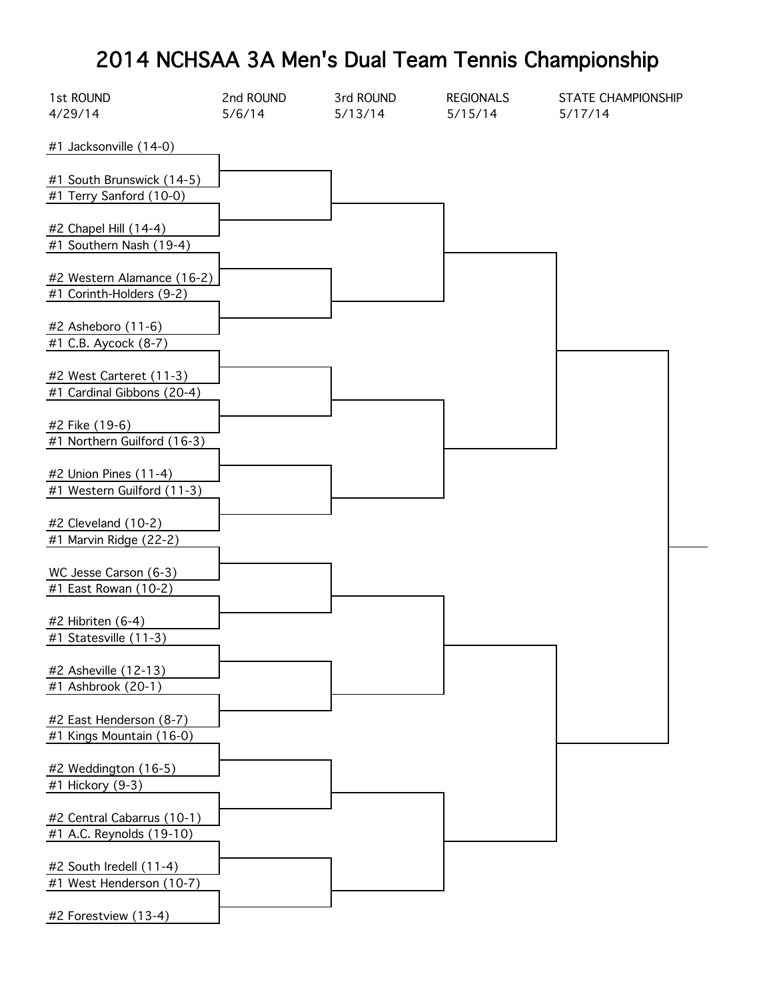## 2014 NCHSAA 3A Men's Dual Team Tennis Championship

| 1st ROUND<br>4/29/14                                   | 2nd ROUND<br>5/6/14 | 3rd ROUND<br>5/13/14 | <b>REGIONALS</b><br>5/15/14 | <b>STATE CHAMPIONSHIP</b><br>5/17/14 |  |
|--------------------------------------------------------|---------------------|----------------------|-----------------------------|--------------------------------------|--|
| #1 Jacksonville (14-0)                                 |                     |                      |                             |                                      |  |
| #1 South Brunswick (14-5)<br>#1 Terry Sanford (10-0)   |                     |                      |                             |                                      |  |
| #2 Chapel Hill (14-4)<br>#1 Southern Nash (19-4)       |                     |                      |                             |                                      |  |
| #2 Western Alamance (16-2)<br>#1 Corinth-Holders (9-2) |                     |                      |                             |                                      |  |
| #2 Asheboro (11-6)<br>#1 C.B. Aycock (8-7)             |                     |                      |                             |                                      |  |
| #2 West Carteret (11-3)<br>#1 Cardinal Gibbons (20-4)  |                     |                      |                             |                                      |  |
| #2 Fike (19-6)<br>#1 Northern Guilford (16-3)          |                     |                      |                             |                                      |  |
| #2 Union Pines (11-4)<br>#1 Western Guilford (11-3)    |                     |                      |                             |                                      |  |
| #2 Cleveland (10-2)<br>#1 Marvin Ridge (22-2)          |                     |                      |                             |                                      |  |
| WC Jesse Carson (6-3)<br>#1 East Rowan (10-2)          |                     |                      |                             |                                      |  |
| #2 Hibriten (6-4)<br>#1 Statesville (11-3)             |                     |                      |                             |                                      |  |
| #2 Asheville (12-13)<br>#1 Ashbrook (20-1)             |                     |                      |                             |                                      |  |
| #2 East Henderson (8-7)<br>#1 Kings Mountain (16-0)    |                     |                      |                             |                                      |  |
| #2 Weddington (16-5)<br>#1 Hickory (9-3)               |                     |                      |                             |                                      |  |
| #2 Central Cabarrus (10-1)<br>#1 A.C. Reynolds (19-10) |                     |                      |                             |                                      |  |
| #2 South Iredell (11-4)<br>#1 West Henderson (10-7)    |                     |                      |                             |                                      |  |
| #2 Forestview (13-4)                                   |                     |                      |                             |                                      |  |